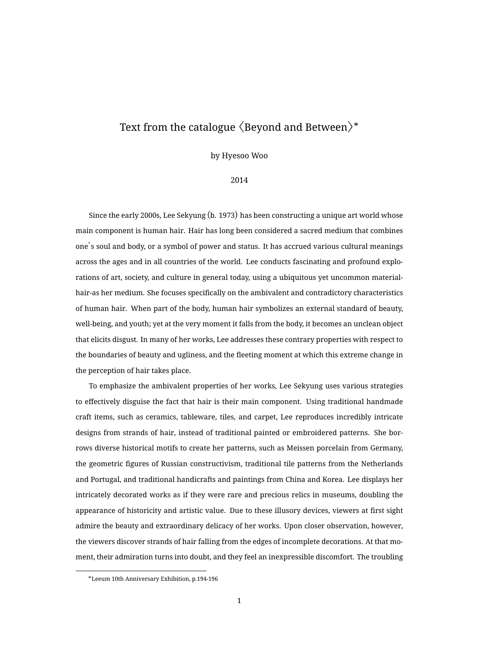## Text from the catalogue  $\langle$ Beyond and Between $\rangle^*$

by Hyesoo Woo

## 2014

Since the early 2000s, Lee Sekyung (b. 1973) has been constructing a unique art world whose main component is human hair. Hair has long been considered a sacred medium that combines one's soul and body, or a symbol of power and status. It has accrued various cultural meanings across the ages and in all countries of the world. Lee conducts fascinating and profound explorations of art, society, and culture in general today, using a ubiquitous yet uncommon materialhair-as her medium. She focuses specifically on the ambivalent and contradictory characteristics of human hair. When part of the body, human hair symbolizes an external standard of beauty, well-being, and youth; yet at the very moment it falls from the body, it becomes an unclean object that elicits disgust. In many of her works, Lee addresses these contrary properties with respect to the boundaries of beauty and ugliness, and the fleeting moment at which this extreme change in the perception of hair takes place.

To emphasize the ambivalent properties of her works, Lee Sekyung uses various strategies to effectively disguise the fact that hair is their main component. Using traditional handmade craft items, such as ceramics, tableware, tiles, and carpet, Lee reproduces incredibly intricate designs from strands of hair, instead of traditional painted or embroidered patterns. She borrows diverse historical motifs to create her patterns, such as Meissen porcelain from Germany, the geometric figures of Russian constructivism, traditional tile patterns from the Netherlands and Portugal, and traditional handicrafts and paintings from China and Korea. Lee displays her intricately decorated works as if they were rare and precious relics in museums, doubling the appearance of historicity and artistic value. Due to these illusory devices, viewers at first sight admire the beauty and extraordinary delicacy of her works. Upon closer observation, however, the viewers discover strands of hair falling from the edges of incomplete decorations. At that moment, their admiration turns into doubt, and they feel an inexpressible discomfort. The troubling

<sup>\*</sup>Leeum 10th Anniversary Exhibition, p.194-196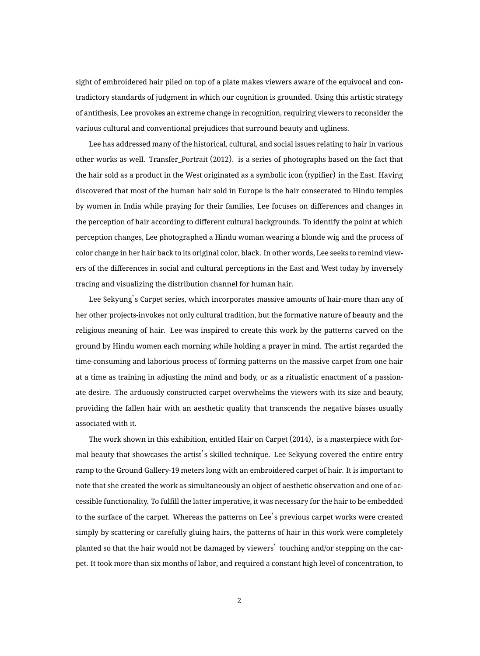sight of embroidered hair piled on top of a plate makes viewers aware of the equivocal and contradictory standards of judgment in which our cognition is grounded. Using this artistic strategy of antithesis, Lee provokes an extreme change in recognition, requiring viewers to reconsider the various cultural and conventional prejudices that surround beauty and ugliness.

Lee has addressed many of the historical, cultural, and social issues relating to hair in various other works as well. Transfer\_Portrait (2012), is a series of photographs based on the fact that the hair sold as a product in the West originated as a symbolic icon (typifier) in the East. Having discovered that most of the human hair sold in Europe is the hair consecrated to Hindu temples by women in India while praying for their families, Lee focuses on differences and changes in the perception of hair according to different cultural backgrounds. To identify the point at which perception changes, Lee photographed a Hindu woman wearing a blonde wig and the process of color change in her hair back to its original color, black. In other words, Lee seeks to remind viewers of the differences in social and cultural perceptions in the East and West today by inversely tracing and visualizing the distribution channel for human hair.

Lee Sekyung's Carpet series, which incorporates massive amounts of hair-more than any of her other projects-invokes not only cultural tradition, but the formative nature of beauty and the religious meaning of hair. Lee was inspired to create this work by the patterns carved on the ground by Hindu women each morning while holding a prayer in mind. The artist regarded the time-consuming and laborious process of forming patterns on the massive carpet from one hair at a time as training in adjusting the mind and body, or as a ritualistic enactment of a passionate desire. The arduously constructed carpet overwhelms the viewers with its size and beauty, providing the fallen hair with an aesthetic quality that transcends the negative biases usually associated with it.

The work shown in this exhibition, entitled Hair on Carpet (2014), is a masterpiece with formal beauty that showcases the artist's skilled technique. Lee Sekyung covered the entire entry ramp to the Ground Gallery-19 meters long with an embroidered carpet of hair. It is important to note that she created the work as simultaneously an object of aesthetic observation and one of accessible functionality. To fulfill the latter imperative, it was necessary for the hair to be embedded to the surface of the carpet. Whereas the patterns on Lee's previous carpet works were created simply by scattering or carefully gluing hairs, the patterns of hair in this work were completely planted so that the hair would not be damaged by viewers' touching and/or stepping on the carpet. It took more than six months of labor, and required a constant high level of concentration, to